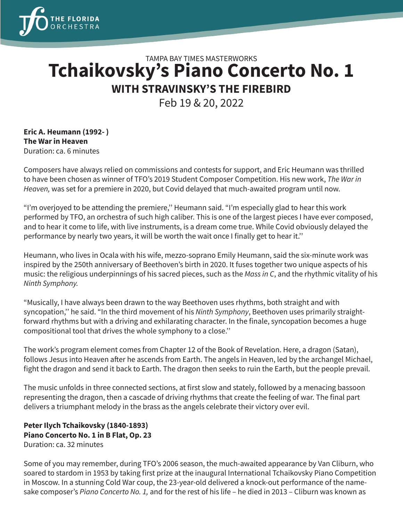

## TAMPA BAY TIMES MASTERWORKS **Tchaikovsky's Piano Concerto No. 1 WITH STRAVINSKY'S THE FIREBIRD**

Feb 19 & 20, 2022

**Eric A. Heumann (1992- ) The War in Heaven** Duration: ca. 6 minutes

Composers have always relied on commissions and contests for support, and Eric Heumann was thrilled to have been chosen as winner of TFO's 2019 Student Composer Competition. His new work, *The War in Heaven,* was set for a premiere in 2020, but Covid delayed that much-awaited program until now.

"I'm overjoyed to be attending the premiere,'' Heumann said. "I'm especially glad to hear this work performed by TFO, an orchestra of such high caliber. This is one of the largest pieces I have ever composed, and to hear it come to life, with live instruments, is a dream come true. While Covid obviously delayed the performance by nearly two years, it will be worth the wait once I finally get to hear it.''

Heumann, who lives in Ocala with his wife, mezzo-soprano Emily Heumann, said the six-minute work was inspired by the 250th anniversary of Beethoven's birth in 2020. It fuses together two unique aspects of his music: the religious underpinnings of his sacred pieces, such as the *Mass in C*, and the rhythmic vitality of his *Ninth Symphony.*

"Musically, I have always been drawn to the way Beethoven uses rhythms, both straight and with syncopation,'' he said. "In the third movement of his *Ninth Symphony*, Beethoven uses primarily straightforward rhythms but with a driving and exhilarating character. In the finale, syncopation becomes a huge compositional tool that drives the whole symphony to a close.''

The work's program element comes from Chapter 12 of the Book of Revelation. Here, a dragon (Satan), follows Jesus into Heaven after he ascends from Earth. The angels in Heaven, led by the archangel Michael, fight the dragon and send it back to Earth. The dragon then seeks to ruin the Earth, but the people prevail.

The music unfolds in three connected sections, at first slow and stately, followed by a menacing bassoon representing the dragon, then a cascade of driving rhythms that create the feeling of war. The final part delivers a triumphant melody in the brass as the angels celebrate their victory over evil.

## **Peter Ilych Tchaikovsky (1840-1893) Piano Concerto No. 1 in B Flat, Op. 23** Duration: ca. 32 minutes

Some of you may remember, during TFO's 2006 season, the much-awaited appearance by Van Cliburn, who soared to stardom in 1953 by taking first prize at the inaugural International Tchaikovsky Piano Competition in Moscow. In a stunning Cold War coup, the 23-year-old delivered a knock-out performance of the namesake composer's *Piano Concerto No. 1,* and for the rest of his life – he died in 2013 – Cliburn was known as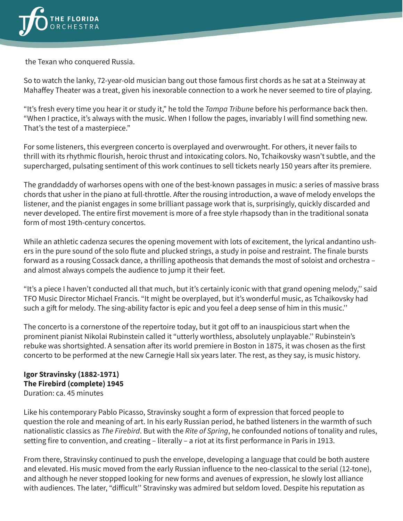

the Texan who conquered Russia.

So to watch the lanky, 72-year-old musician bang out those famous first chords as he sat at a Steinway at Mahaffey Theater was a treat, given his inexorable connection to a work he never seemed to tire of playing.

"It's fresh every time you hear it or study it," he told the *Tampa Tribune* before his performance back then. "When I practice, it's always with the music. When I follow the pages, invariably I will find something new. That's the test of a masterpiece."

For some listeners, this evergreen concerto is overplayed and overwrought. For others, it never fails to thrill with its rhythmic flourish, heroic thrust and intoxicating colors. No, Tchaikovsky wasn't subtle, and the supercharged, pulsating sentiment of this work continues to sell tickets nearly 150 years after its premiere.

The granddaddy of warhorses opens with one of the best-known passages in music: a series of massive brass chords that usher in the piano at full-throttle. After the rousing introduction, a wave of melody envelops the listener, and the pianist engages in some brilliant passage work that is, surprisingly, quickly discarded and never developed. The entire first movement is more of a free style rhapsody than in the traditional sonata form of most 19th-century concertos.

While an athletic cadenza secures the opening movement with lots of excitement, the lyrical andantino ushers in the pure sound of the solo flute and plucked strings, a study in poise and restraint. The finale bursts forward as a rousing Cossack dance, a thrilling apotheosis that demands the most of soloist and orchestra – and almost always compels the audience to jump it their feet.

"It's a piece I haven't conducted all that much, but it's certainly iconic with that grand opening melody,'' said TFO Music Director Michael Francis. "It might be overplayed, but it's wonderful music, as Tchaikovsky had such a gift for melody. The sing-ability factor is epic and you feel a deep sense of him in this music.''

The concerto is a cornerstone of the repertoire today, but it got off to an inauspicious start when the prominent pianist Nikolai Rubinstein called it "utterly worthless, absolutely unplayable.'' Rubinstein's rebuke was shortsighted. A sensation after its world premiere in Boston in 1875, it was chosen as the first concerto to be performed at the new Carnegie Hall six years later. The rest, as they say, is music history.

## **Igor Stravinsky (1882-1971) The Firebird (complete) 1945** Duration: ca. 45 minutes

Like his contemporary Pablo Picasso, Stravinsky sought a form of expression that forced people to question the role and meaning of art. In his early Russian period, he bathed listeners in the warmth of such nationalistic classics as *The Firebird*. But with the *Rite of Spring*, he confounded notions of tonality and rules, setting fire to convention, and creating – literally – a riot at its first performance in Paris in 1913.

From there, Stravinsky continued to push the envelope, developing a language that could be both austere and elevated. His music moved from the early Russian influence to the neo-classical to the serial (12-tone), and although he never stopped looking for new forms and avenues of expression, he slowly lost alliance with audiences. The later, "difficult'' Stravinsky was admired but seldom loved. Despite his reputation as